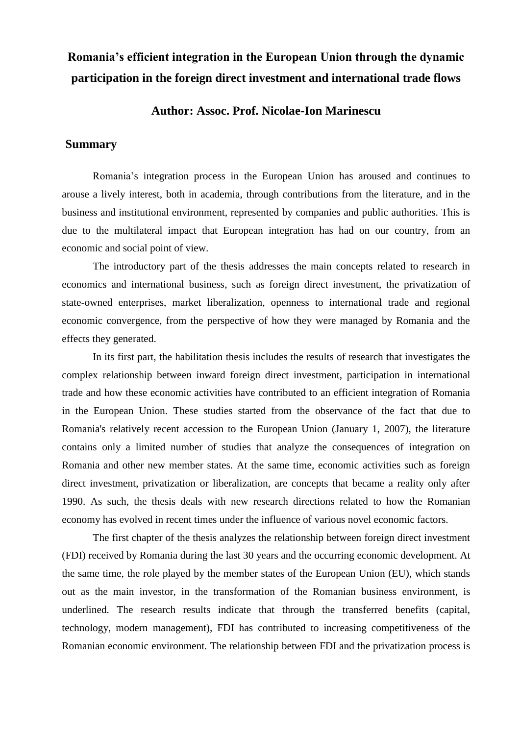## **Romania's efficient integration in the European Union through the dynamic participation in the foreign direct investment and international trade flows**

## **Author: Assoc. Prof. Nicolae-Ion Marinescu**

## **Summary**

Romania's integration process in the European Union has aroused and continues to arouse a lively interest, both in academia, through contributions from the literature, and in the business and institutional environment, represented by companies and public authorities. This is due to the multilateral impact that European integration has had on our country, from an economic and social point of view.

The introductory part of the thesis addresses the main concepts related to research in economics and international business, such as foreign direct investment, the privatization of state-owned enterprises, market liberalization, openness to international trade and regional economic convergence, from the perspective of how they were managed by Romania and the effects they generated.

In its first part, the habilitation thesis includes the results of research that investigates the complex relationship between inward foreign direct investment, participation in international trade and how these economic activities have contributed to an efficient integration of Romania in the European Union. These studies started from the observance of the fact that due to Romania's relatively recent accession to the European Union (January 1, 2007), the literature contains only a limited number of studies that analyze the consequences of integration on Romania and other new member states. At the same time, economic activities such as foreign direct investment, privatization or liberalization, are concepts that became a reality only after 1990. As such, the thesis deals with new research directions related to how the Romanian economy has evolved in recent times under the influence of various novel economic factors.

The first chapter of the thesis analyzes the relationship between foreign direct investment (FDI) received by Romania during the last 30 years and the occurring economic development. At the same time, the role played by the member states of the European Union (EU), which stands out as the main investor, in the transformation of the Romanian business environment, is underlined. The research results indicate that through the transferred benefits (capital, technology, modern management), FDI has contributed to increasing competitiveness of the Romanian economic environment. The relationship between FDI and the privatization process is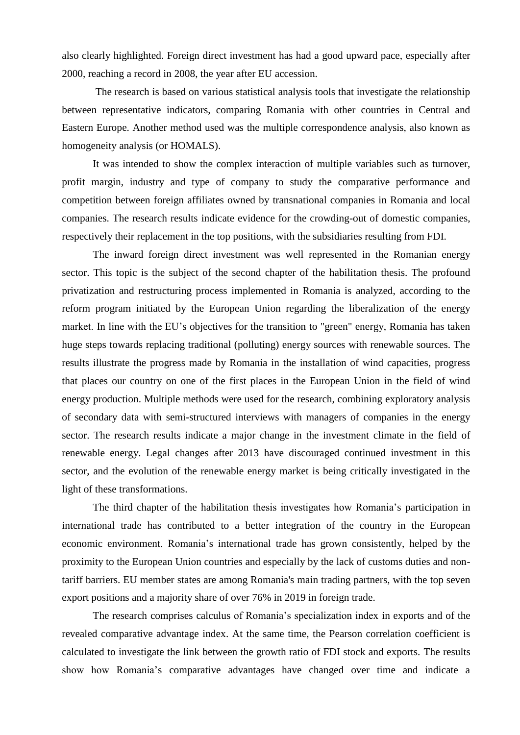also clearly highlighted. Foreign direct investment has had a good upward pace, especially after 2000, reaching a record in 2008, the year after EU accession.

The research is based on various statistical analysis tools that investigate the relationship between representative indicators, comparing Romania with other countries in Central and Eastern Europe. Another method used was the multiple correspondence analysis, also known as homogeneity analysis (or HOMALS).

It was intended to show the complex interaction of multiple variables such as turnover, profit margin, industry and type of company to study the comparative performance and competition between foreign affiliates owned by transnational companies in Romania and local companies. The research results indicate evidence for the crowding-out of domestic companies, respectively their replacement in the top positions, with the subsidiaries resulting from FDI.

The inward foreign direct investment was well represented in the Romanian energy sector. This topic is the subject of the second chapter of the habilitation thesis. The profound privatization and restructuring process implemented in Romania is analyzed, according to the reform program initiated by the European Union regarding the liberalization of the energy market. In line with the EU's objectives for the transition to "green" energy, Romania has taken huge steps towards replacing traditional (polluting) energy sources with renewable sources. The results illustrate the progress made by Romania in the installation of wind capacities, progress that places our country on one of the first places in the European Union in the field of wind energy production. Multiple methods were used for the research, combining exploratory analysis of secondary data with semi-structured interviews with managers of companies in the energy sector. The research results indicate a major change in the investment climate in the field of renewable energy. Legal changes after 2013 have discouraged continued investment in this sector, and the evolution of the renewable energy market is being critically investigated in the light of these transformations.

The third chapter of the habilitation thesis investigates how Romania's participation in international trade has contributed to a better integration of the country in the European economic environment. Romania's international trade has grown consistently, helped by the proximity to the European Union countries and especially by the lack of customs duties and nontariff barriers. EU member states are among Romania's main trading partners, with the top seven export positions and a majority share of over 76% in 2019 in foreign trade.

The research comprises calculus of Romania's specialization index in exports and of the revealed comparative advantage index. At the same time, the Pearson correlation coefficient is calculated to investigate the link between the growth ratio of FDI stock and exports. The results show how Romania's comparative advantages have changed over time and indicate a